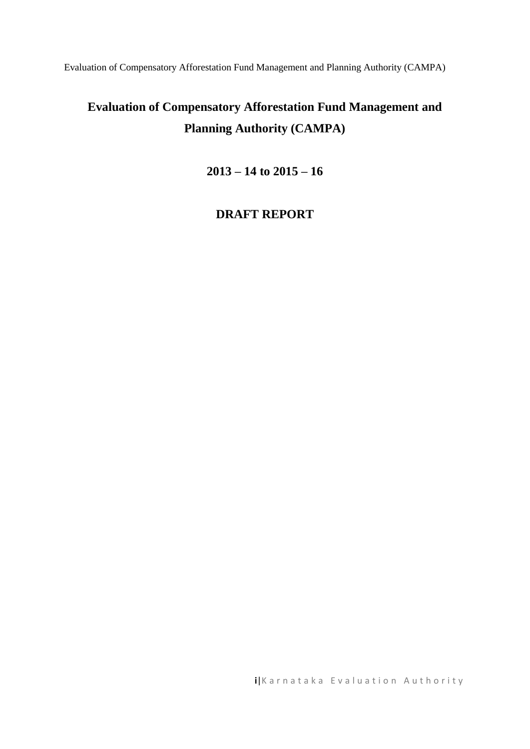Evaluation of Compensatory Afforestation Fund Management and Planning Authority (CAMPA)

# **Evaluation of Compensatory Afforestation Fund Management and Planning Authority (CAMPA)**

**2013 – 14 to 2015 – 16** 

## **DRAFT REPORT**

**i**|Karnataka Evaluation Authority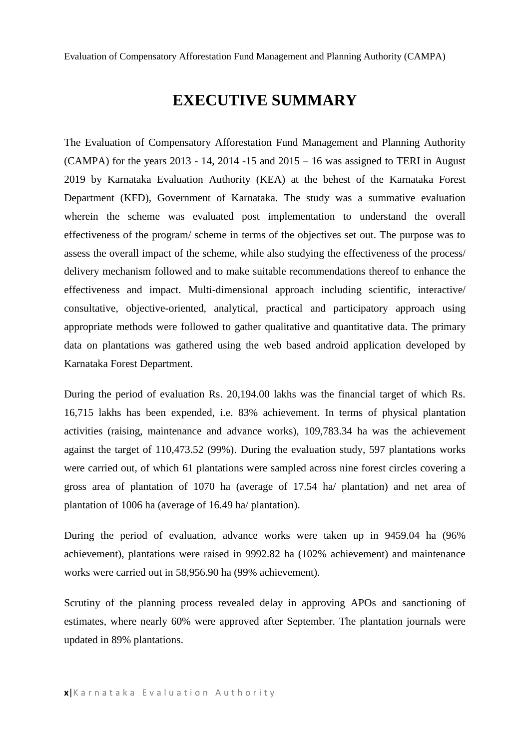Evaluation of Compensatory Afforestation Fund Management and Planning Authority (CAMPA)

# **EXECUTIVE SUMMARY**

The Evaluation of Compensatory Afforestation Fund Management and Planning Authority  $(CAMPA)$  for the years 2013 - 14, 2014 -15 and 2015 – 16 was assigned to TERI in August 2019 by Karnataka Evaluation Authority (KEA) at the behest of the Karnataka Forest Department (KFD), Government of Karnataka. The study was a summative evaluation wherein the scheme was evaluated post implementation to understand the overall effectiveness of the program/ scheme in terms of the objectives set out. The purpose was to assess the overall impact of the scheme, while also studying the effectiveness of the process/ delivery mechanism followed and to make suitable recommendations thereof to enhance the effectiveness and impact. Multi-dimensional approach including scientific, interactive/ consultative, objective-oriented, analytical, practical and participatory approach using appropriate methods were followed to gather qualitative and quantitative data. The primary data on plantations was gathered using the web based android application developed by Karnataka Forest Department.

During the period of evaluation Rs. 20,194.00 lakhs was the financial target of which Rs. 16,715 lakhs has been expended, i.e. 83% achievement. In terms of physical plantation activities (raising, maintenance and advance works), 109,783.34 ha was the achievement against the target of 110,473.52 (99%). During the evaluation study, 597 plantations works were carried out, of which 61 plantations were sampled across nine forest circles covering a gross area of plantation of 1070 ha (average of 17.54 ha/ plantation) and net area of plantation of 1006 ha (average of 16.49 ha/ plantation).

During the period of evaluation, advance works were taken up in 9459.04 ha (96% achievement), plantations were raised in 9992.82 ha (102% achievement) and maintenance works were carried out in 58,956.90 ha (99% achievement).

Scrutiny of the planning process revealed delay in approving APOs and sanctioning of estimates, where nearly 60% were approved after September. The plantation journals were updated in 89% plantations.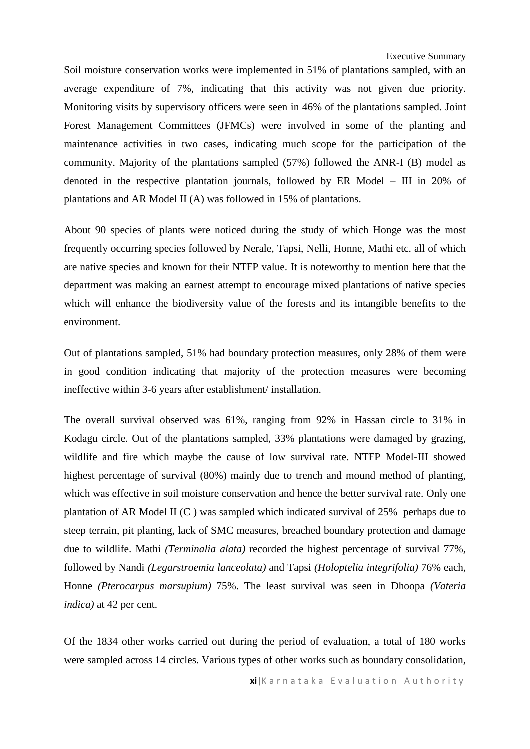Executive Summary

Soil moisture conservation works were implemented in 51% of plantations sampled, with an average expenditure of 7%, indicating that this activity was not given due priority. Monitoring visits by supervisory officers were seen in 46% of the plantations sampled. Joint Forest Management Committees (JFMCs) were involved in some of the planting and maintenance activities in two cases, indicating much scope for the participation of the community. Majority of the plantations sampled (57%) followed the ANR-I (B) model as denoted in the respective plantation journals, followed by ER Model – III in 20% of plantations and AR Model II (A) was followed in 15% of plantations.

About 90 species of plants were noticed during the study of which Honge was the most frequently occurring species followed by Nerale, Tapsi, Nelli, Honne, Mathi etc. all of which are native species and known for their NTFP value. It is noteworthy to mention here that the department was making an earnest attempt to encourage mixed plantations of native species which will enhance the biodiversity value of the forests and its intangible benefits to the environment.

Out of plantations sampled, 51% had boundary protection measures, only 28% of them were in good condition indicating that majority of the protection measures were becoming ineffective within 3-6 years after establishment/ installation.

The overall survival observed was 61%, ranging from 92% in Hassan circle to 31% in Kodagu circle. Out of the plantations sampled, 33% plantations were damaged by grazing, wildlife and fire which maybe the cause of low survival rate. NTFP Model-III showed highest percentage of survival (80%) mainly due to trench and mound method of planting, which was effective in soil moisture conservation and hence the better survival rate. Only one plantation of AR Model II (C ) was sampled which indicated survival of 25% perhaps due to steep terrain, pit planting, lack of SMC measures, breached boundary protection and damage due to wildlife. Mathi *(Terminalia alata)* recorded the highest percentage of survival 77%, followed by Nandi *(Legarstroemia lanceolata)* and Tapsi *(Holoptelia integrifolia)* 76% each*,*  Honne *(Pterocarpus marsupium)* 75%. The least survival was seen in Dhoopa *(Vateria indica)* at 42 per cent.

Of the 1834 other works carried out during the period of evaluation, a total of 180 works were sampled across 14 circles. Various types of other works such as boundary consolidation,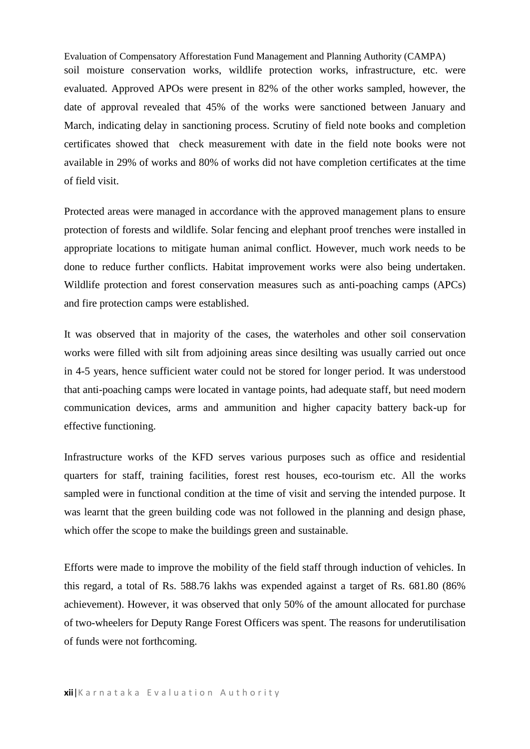Evaluation of Compensatory Afforestation Fund Management and Planning Authority (CAMPA) soil moisture conservation works, wildlife protection works, infrastructure, etc. were evaluated. Approved APOs were present in 82% of the other works sampled, however, the date of approval revealed that 45% of the works were sanctioned between January and March, indicating delay in sanctioning process. Scrutiny of field note books and completion certificates showed that check measurement with date in the field note books were not available in 29% of works and 80% of works did not have completion certificates at the time of field visit.

Protected areas were managed in accordance with the approved management plans to ensure protection of forests and wildlife. Solar fencing and elephant proof trenches were installed in appropriate locations to mitigate human animal conflict. However, much work needs to be done to reduce further conflicts. Habitat improvement works were also being undertaken. Wildlife protection and forest conservation measures such as anti-poaching camps (APCs) and fire protection camps were established.

It was observed that in majority of the cases, the waterholes and other soil conservation works were filled with silt from adjoining areas since desilting was usually carried out once in 4-5 years, hence sufficient water could not be stored for longer period. It was understood that anti-poaching camps were located in vantage points, had adequate staff, but need modern communication devices, arms and ammunition and higher capacity battery back-up for effective functioning.

Infrastructure works of the KFD serves various purposes such as office and residential quarters for staff, training facilities, forest rest houses, eco-tourism etc. All the works sampled were in functional condition at the time of visit and serving the intended purpose. It was learnt that the green building code was not followed in the planning and design phase, which offer the scope to make the buildings green and sustainable.

Efforts were made to improve the mobility of the field staff through induction of vehicles. In this regard, a total of Rs. 588.76 lakhs was expended against a target of Rs. 681.80 (86% achievement). However, it was observed that only 50% of the amount allocated for purchase of two-wheelers for Deputy Range Forest Officers was spent. The reasons for underutilisation of funds were not forthcoming.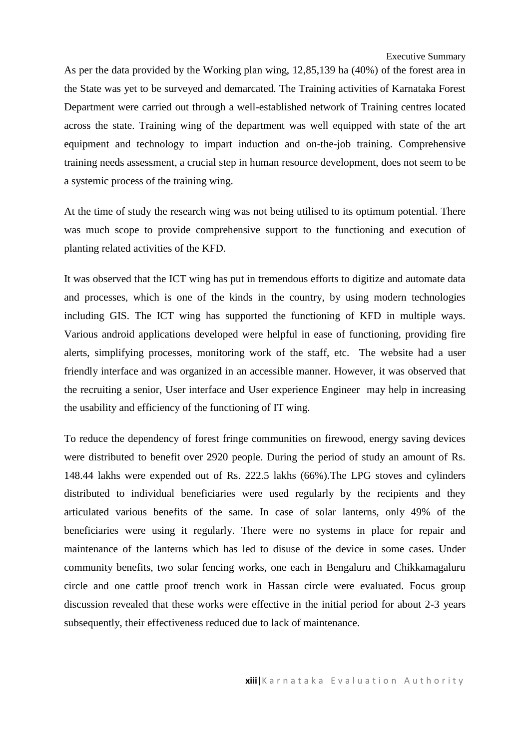As per the data provided by the Working plan wing, 12,85,139 ha (40%) of the forest area in the State was yet to be surveyed and demarcated. The Training activities of Karnataka Forest Department were carried out through a well-established network of Training centres located across the state. Training wing of the department was well equipped with state of the art equipment and technology to impart induction and on-the-job training. Comprehensive training needs assessment, a crucial step in human resource development, does not seem to be a systemic process of the training wing.

At the time of study the research wing was not being utilised to its optimum potential. There was much scope to provide comprehensive support to the functioning and execution of planting related activities of the KFD.

It was observed that the ICT wing has put in tremendous efforts to digitize and automate data and processes, which is one of the kinds in the country, by using modern technologies including GIS. The ICT wing has supported the functioning of KFD in multiple ways. Various android applications developed were helpful in ease of functioning, providing fire alerts, simplifying processes, monitoring work of the staff, etc. The website had a user friendly interface and was organized in an accessible manner. However, it was observed that the recruiting a senior, User interface and User experience Engineer may help in increasing the usability and efficiency of the functioning of IT wing.

To reduce the dependency of forest fringe communities on firewood, energy saving devices were distributed to benefit over 2920 people. During the period of study an amount of Rs. 148.44 lakhs were expended out of Rs. 222.5 lakhs (66%).The LPG stoves and cylinders distributed to individual beneficiaries were used regularly by the recipients and they articulated various benefits of the same. In case of solar lanterns, only 49% of the beneficiaries were using it regularly. There were no systems in place for repair and maintenance of the lanterns which has led to disuse of the device in some cases. Under community benefits, two solar fencing works, one each in Bengaluru and Chikkamagaluru circle and one cattle proof trench work in Hassan circle were evaluated. Focus group discussion revealed that these works were effective in the initial period for about 2-3 years subsequently, their effectiveness reduced due to lack of maintenance.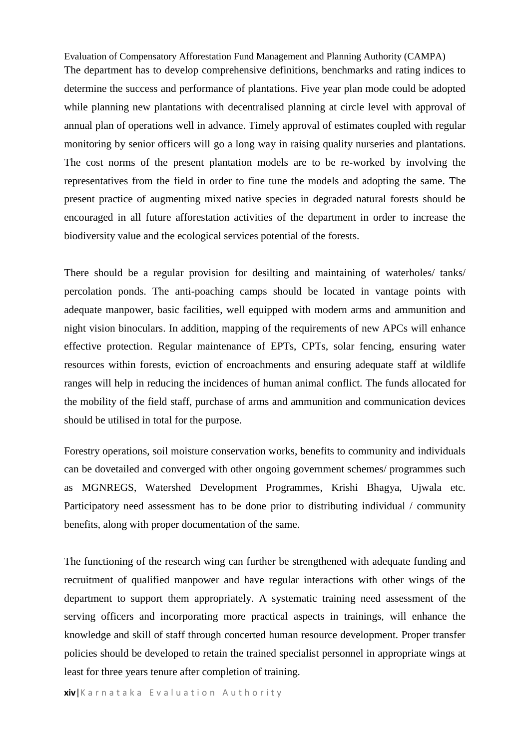Evaluation of Compensatory Afforestation Fund Management and Planning Authority (CAMPA) The department has to develop comprehensive definitions, benchmarks and rating indices to determine the success and performance of plantations. Five year plan mode could be adopted while planning new plantations with decentralised planning at circle level with approval of annual plan of operations well in advance. Timely approval of estimates coupled with regular monitoring by senior officers will go a long way in raising quality nurseries and plantations. The cost norms of the present plantation models are to be re-worked by involving the representatives from the field in order to fine tune the models and adopting the same. The present practice of augmenting mixed native species in degraded natural forests should be encouraged in all future afforestation activities of the department in order to increase the biodiversity value and the ecological services potential of the forests.

There should be a regular provision for desilting and maintaining of waterholes/ tanks/ percolation ponds. The anti-poaching camps should be located in vantage points with adequate manpower, basic facilities, well equipped with modern arms and ammunition and night vision binoculars. In addition, mapping of the requirements of new APCs will enhance effective protection. Regular maintenance of EPTs, CPTs, solar fencing, ensuring water resources within forests, eviction of encroachments and ensuring adequate staff at wildlife ranges will help in reducing the incidences of human animal conflict. The funds allocated for the mobility of the field staff, purchase of arms and ammunition and communication devices should be utilised in total for the purpose.

Forestry operations, soil moisture conservation works, benefits to community and individuals can be dovetailed and converged with other ongoing government schemes/ programmes such as MGNREGS, Watershed Development Programmes, Krishi Bhagya, Ujwala etc. Participatory need assessment has to be done prior to distributing individual / community benefits, along with proper documentation of the same.

The functioning of the research wing can further be strengthened with adequate funding and recruitment of qualified manpower and have regular interactions with other wings of the department to support them appropriately. A systematic training need assessment of the serving officers and incorporating more practical aspects in trainings, will enhance the knowledge and skill of staff through concerted human resource development. Proper transfer policies should be developed to retain the trained specialist personnel in appropriate wings at least for three years tenure after completion of training.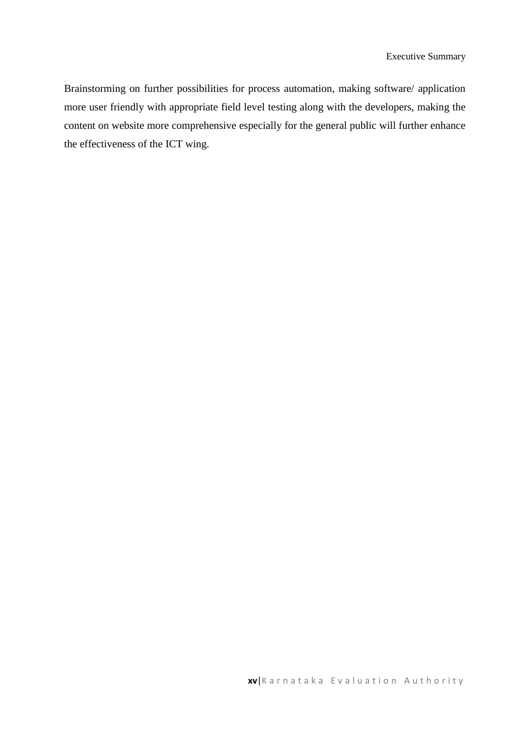Brainstorming on further possibilities for process automation, making software/ application more user friendly with appropriate field level testing along with the developers, making the content on website more comprehensive especially for the general public will further enhance the effectiveness of the ICT wing.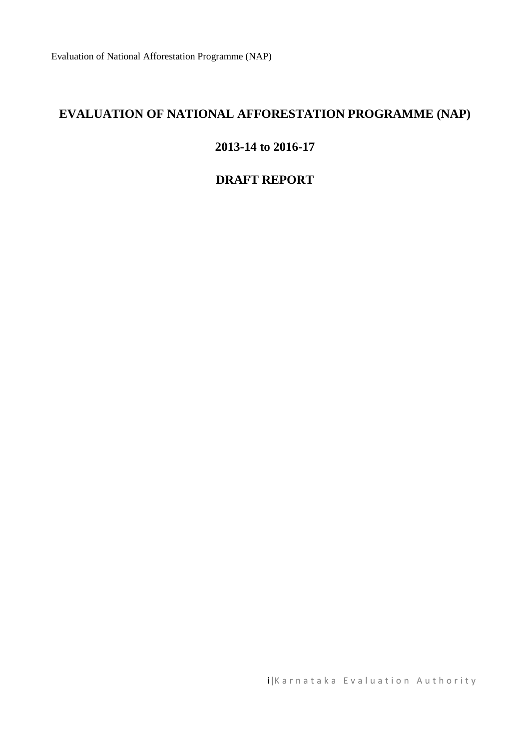# **EVALUATION OF NATIONAL AFFORESTATION PROGRAMME (NAP)**

#### **2013-14 to 2016-17**

### **DRAFT REPORT**

**i**|Karnataka Evaluation Authority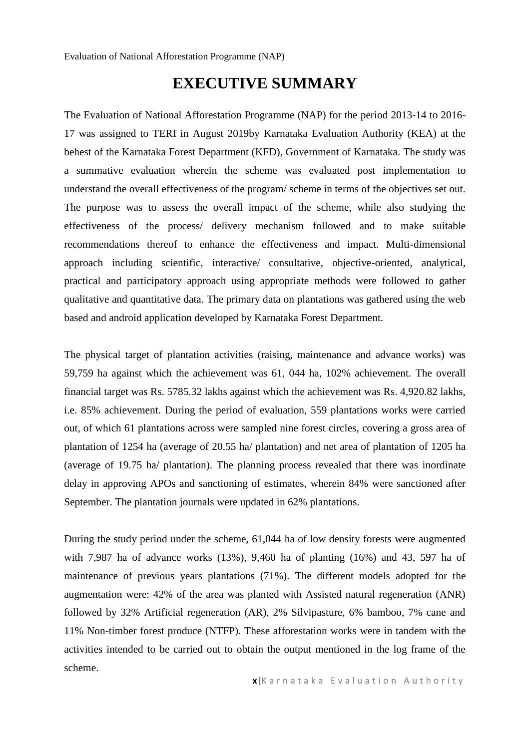# **EXECUTIVE SUMMARY**

The Evaluation of National Afforestation Programme (NAP) for the period 2013-14 to 2016- 17 was assigned to TERI in August 2019by Karnataka Evaluation Authority (KEA) at the behest of the Karnataka Forest Department (KFD), Government of Karnataka. The study was a summative evaluation wherein the scheme was evaluated post implementation to understand the overall effectiveness of the program/ scheme in terms of the objectives set out. The purpose was to assess the overall impact of the scheme, while also studying the effectiveness of the process/ delivery mechanism followed and to make suitable recommendations thereof to enhance the effectiveness and impact. Multi-dimensional approach including scientific, interactive/ consultative, objective-oriented, analytical, practical and participatory approach using appropriate methods were followed to gather qualitative and quantitative data. The primary data on plantations was gathered using the web based and android application developed by Karnataka Forest Department.

The physical target of plantation activities (raising, maintenance and advance works) was 59,759 ha against which the achievement was 61, 044 ha, 102% achievement. The overall financial target was Rs. 5785.32 lakhs against which the achievement was Rs. 4,920.82 lakhs, i.e. 85% achievement. During the period of evaluation, 559 plantations works were carried out, of which 61 plantations across were sampled nine forest circles, covering a gross area of plantation of 1254 ha (average of 20.55 ha/ plantation) and net area of plantation of 1205 ha (average of 19.75 ha/ plantation). The planning process revealed that there was inordinate delay in approving APOs and sanctioning of estimates, wherein 84% were sanctioned after September. The plantation journals were updated in 62% plantations.

During the study period under the scheme, 61,044 ha of low density forests were augmented with 7,987 ha of advance works (13%), 9,460 ha of planting (16%) and 43, 597 ha of maintenance of previous years plantations (71%). The different models adopted for the augmentation were: 42% of the area was planted with Assisted natural regeneration (ANR) followed by 32% Artificial regeneration (AR), 2% Silvipasture, 6% bamboo, 7% cane and 11% Non-timber forest produce (NTFP). These afforestation works were in tandem with the activities intended to be carried out to obtain the output mentioned in the log frame of the scheme.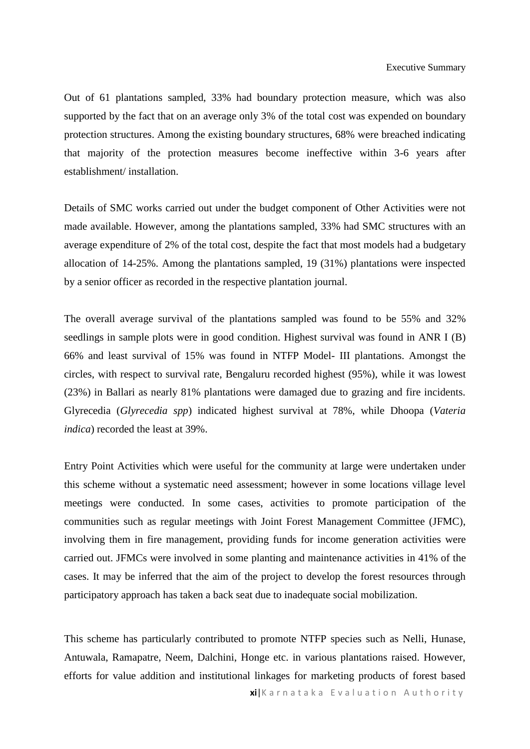Out of 61 plantations sampled, 33% had boundary protection measure, which was also supported by the fact that on an average only 3% of the total cost was expended on boundary protection structures. Among the existing boundary structures, 68% were breached indicating that majority of the protection measures become ineffective within 3-6 years after establishment/ installation.

Details of SMC works carried out under the budget component of Other Activities were not made available. However, among the plantations sampled, 33% had SMC structures with an average expenditure of 2% of the total cost, despite the fact that most models had a budgetary allocation of 14-25%. Among the plantations sampled, 19 (31%) plantations were inspected by a senior officer as recorded in the respective plantation journal.

The overall average survival of the plantations sampled was found to be 55% and 32% seedlings in sample plots were in good condition. Highest survival was found in ANR I (B) 66% and least survival of 15% was found in NTFP Model- III plantations. Amongst the circles, with respect to survival rate, Bengaluru recorded highest (95%), while it was lowest (23%) in Ballari as nearly 81% plantations were damaged due to grazing and fire incidents. Glyrecedia (*Glyrecedia spp*) indicated highest survival at 78%, while Dhoopa (*Vateria indica*) recorded the least at 39%.

Entry Point Activities which were useful for the community at large were undertaken under this scheme without a systematic need assessment; however in some locations village level meetings were conducted. In some cases, activities to promote participation of the communities such as regular meetings with Joint Forest Management Committee (JFMC), involving them in fire management, providing funds for income generation activities were carried out. JFMCs were involved in some planting and maintenance activities in 41% of the cases. It may be inferred that the aim of the project to develop the forest resources through participatory approach has taken a back seat due to inadequate social mobilization.

This scheme has particularly contributed to promote NTFP species such as Nelli, Hunase, Antuwala, Ramapatre, Neem, Dalchini, Honge etc. in various plantations raised. However, efforts for value addition and institutional linkages for marketing products of forest based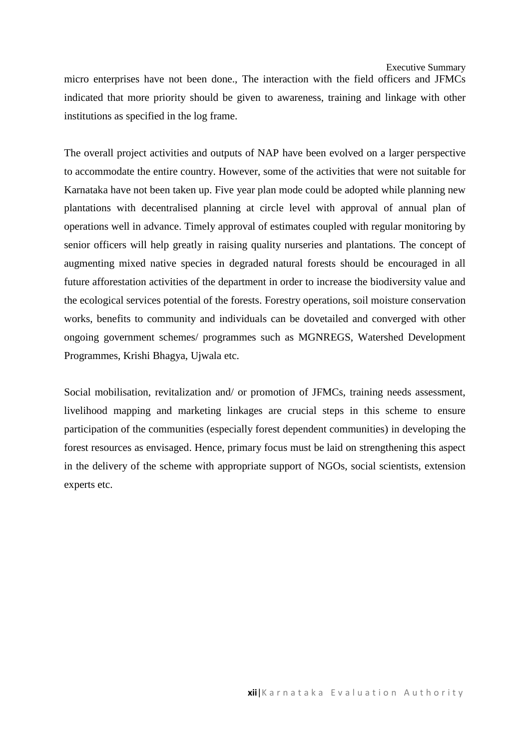Executive Summary

micro enterprises have not been done., The interaction with the field officers and JFMCs indicated that more priority should be given to awareness, training and linkage with other institutions as specified in the log frame.

The overall project activities and outputs of NAP have been evolved on a larger perspective to accommodate the entire country. However, some of the activities that were not suitable for Karnataka have not been taken up. Five year plan mode could be adopted while planning new plantations with decentralised planning at circle level with approval of annual plan of operations well in advance. Timely approval of estimates coupled with regular monitoring by senior officers will help greatly in raising quality nurseries and plantations. The concept of augmenting mixed native species in degraded natural forests should be encouraged in all future afforestation activities of the department in order to increase the biodiversity value and the ecological services potential of the forests. Forestry operations, soil moisture conservation works, benefits to community and individuals can be dovetailed and converged with other ongoing government schemes/ programmes such as MGNREGS, Watershed Development Programmes, Krishi Bhagya, Ujwala etc.

Social mobilisation, revitalization and/ or promotion of JFMCs, training needs assessment, livelihood mapping and marketing linkages are crucial steps in this scheme to ensure participation of the communities (especially forest dependent communities) in developing the forest resources as envisaged. Hence, primary focus must be laid on strengthening this aspect in the delivery of the scheme with appropriate support of NGOs, social scientists, extension experts etc.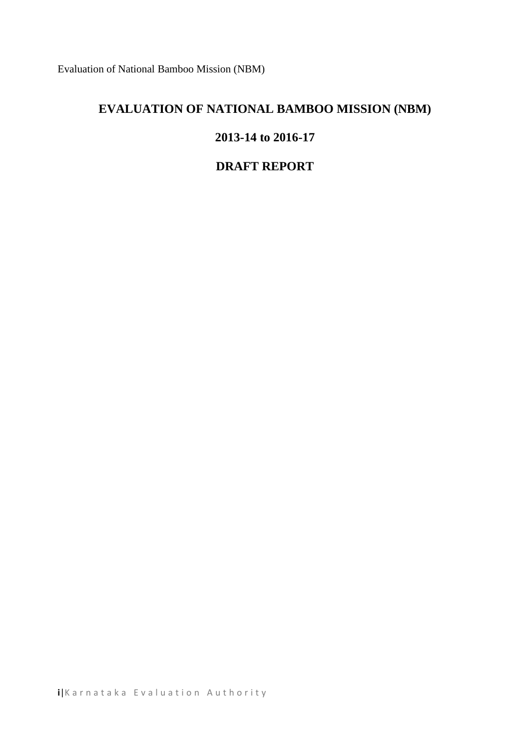Evaluation of National Bamboo Mission (NBM)

# **EVALUATION OF NATIONAL BAMBOO MISSION (NBM)**

#### **2013-14 to 2016-17**

#### **DRAFT REPORT**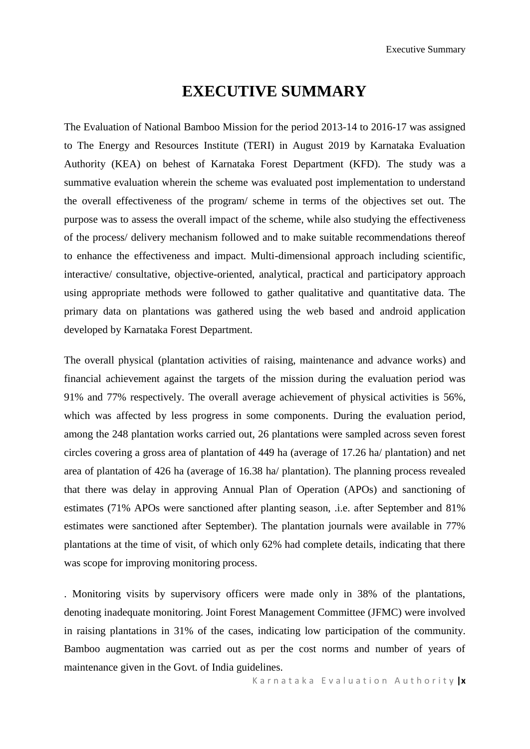# **EXECUTIVE SUMMARY**

The Evaluation of National Bamboo Mission for the period 2013-14 to 2016-17 was assigned to The Energy and Resources Institute (TERI) in August 2019 by Karnataka Evaluation Authority (KEA) on behest of Karnataka Forest Department (KFD). The study was a summative evaluation wherein the scheme was evaluated post implementation to understand the overall effectiveness of the program/ scheme in terms of the objectives set out. The purpose was to assess the overall impact of the scheme, while also studying the effectiveness of the process/ delivery mechanism followed and to make suitable recommendations thereof to enhance the effectiveness and impact. Multi-dimensional approach including scientific, interactive/ consultative, objective-oriented, analytical, practical and participatory approach using appropriate methods were followed to gather qualitative and quantitative data. The primary data on plantations was gathered using the web based and android application developed by Karnataka Forest Department.

The overall physical (plantation activities of raising, maintenance and advance works) and financial achievement against the targets of the mission during the evaluation period was 91% and 77% respectively. The overall average achievement of physical activities is 56%, which was affected by less progress in some components. During the evaluation period, among the 248 plantation works carried out, 26 plantations were sampled across seven forest circles covering a gross area of plantation of 449 ha (average of 17.26 ha/ plantation) and net area of plantation of 426 ha (average of 16.38 ha/ plantation). The planning process revealed that there was delay in approving Annual Plan of Operation (APOs) and sanctioning of estimates (71% APOs were sanctioned after planting season, .i.e. after September and 81% estimates were sanctioned after September). The plantation journals were available in 77% plantations at the time of visit, of which only 62% had complete details, indicating that there was scope for improving monitoring process.

. Monitoring visits by supervisory officers were made only in 38% of the plantations, denoting inadequate monitoring. Joint Forest Management Committee (JFMC) were involved in raising plantations in 31% of the cases, indicating low participation of the community. Bamboo augmentation was carried out as per the cost norms and number of years of maintenance given in the Govt. of India guidelines.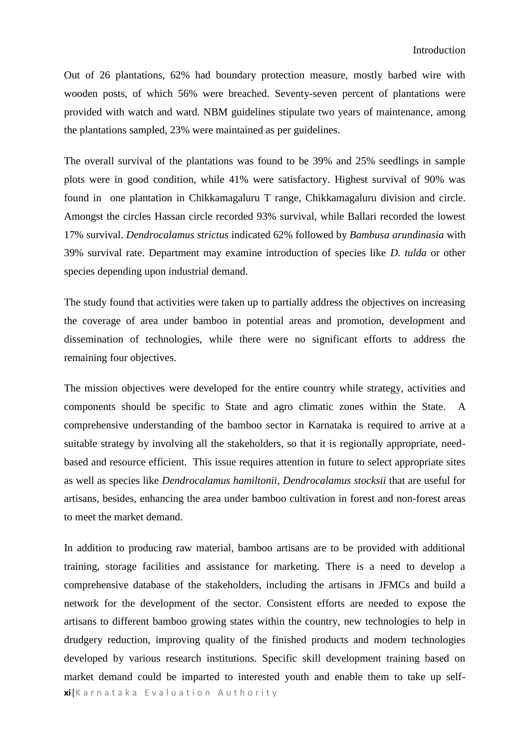Out of 26 plantations, 62% had boundary protection measure, mostly barbed wire with wooden posts, of which 56% were breached. Seventy-seven percent of plantations were provided with watch and ward. NBM guidelines stipulate two years of maintenance, among the plantations sampled, 23% were maintained as per guidelines.

The overall survival of the plantations was found to be 39% and 25% seedlings in sample plots were in good condition, while 41% were satisfactory. Highest survival of 90% was found in one plantation in Chikkamagaluru T range, Chikkamagaluru division and circle. Amongst the circles Hassan circle recorded 93% survival, while Ballari recorded the lowest 17% survival. *Dendrocalamus strictus* indicated 62% followed by *Bambusa arundinasia* with 39% survival rate. Department may examine introduction of species like *D. tulda* or other species depending upon industrial demand.

The study found that activities were taken up to partially address the objectives on increasing the coverage of area under bamboo in potential areas and promotion, development and dissemination of technologies, while there were no significant efforts to address the remaining four objectives.

The mission objectives were developed for the entire country while strategy, activities and components should be specific to State and agro climatic zones within the State. A comprehensive understanding of the bamboo sector in Karnataka is required to arrive at a suitable strategy by involving all the stakeholders, so that it is regionally appropriate, needbased and resource efficient. This issue requires attention in future to select appropriate sites as well as species like *Dendrocalamus hamiltonii*, *Dendrocalamus stocksii* that are useful for artisans, besides, enhancing the area under bamboo cultivation in forest and non-forest areas to meet the market demand.

**xi**|Karnataka Evaluation Authority In addition to producing raw material, bamboo artisans are to be provided with additional training, storage facilities and assistance for marketing. There is a need to develop a comprehensive database of the stakeholders, including the artisans in JFMCs and build a network for the development of the sector. Consistent efforts are needed to expose the artisans to different bamboo growing states within the country, new technologies to help in drudgery reduction, improving quality of the finished products and modern technologies developed by various research institutions. Specific skill development training based on market demand could be imparted to interested youth and enable them to take up self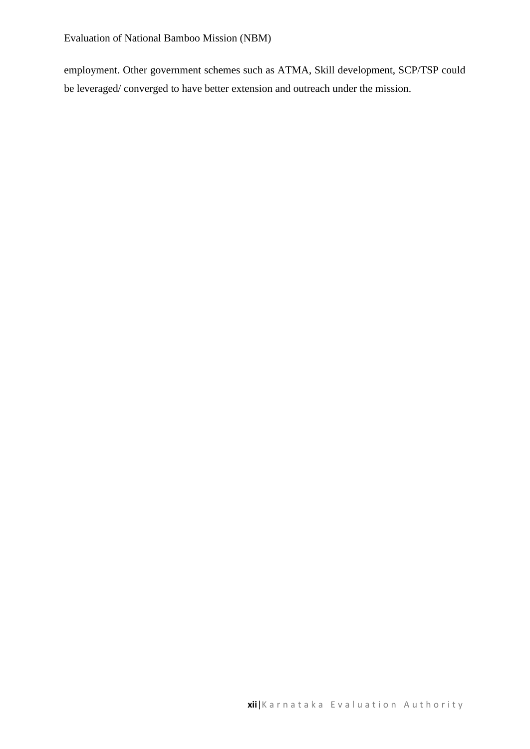employment. Other government schemes such as ATMA, Skill development, SCP/TSP could be leveraged/ converged to have better extension and outreach under the mission.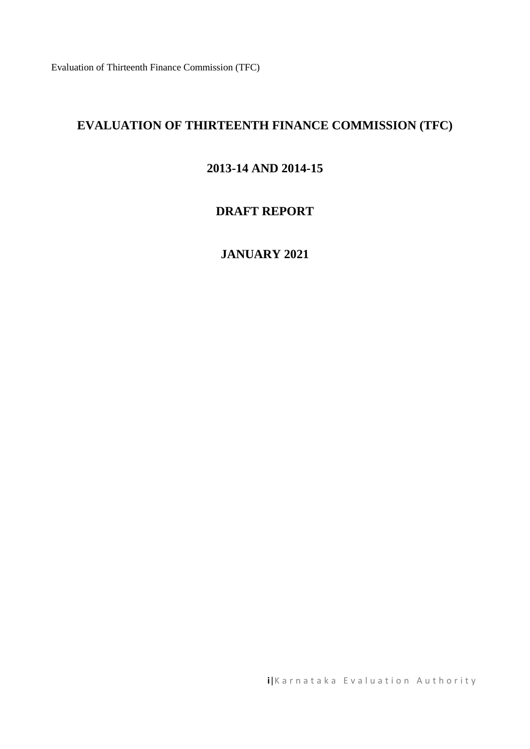Evaluation of Thirteenth Finance Commission (TFC)

# **EVALUATION OF THIRTEENTH FINANCE COMMISSION (TFC)**

#### **2013-14 AND 2014-15**

#### **DRAFT REPORT**

### **JANUARY 2021**

**i**|Karnataka Evaluation Authority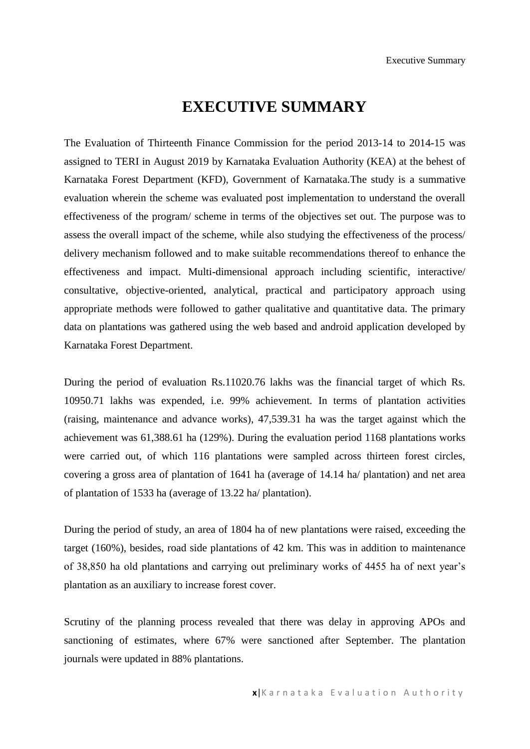# **EXECUTIVE SUMMARY**

The Evaluation of Thirteenth Finance Commission for the period 2013-14 to 2014-15 was assigned to TERI in August 2019 by Karnataka Evaluation Authority (KEA) at the behest of Karnataka Forest Department (KFD), Government of Karnataka.The study is a summative evaluation wherein the scheme was evaluated post implementation to understand the overall effectiveness of the program/ scheme in terms of the objectives set out. The purpose was to assess the overall impact of the scheme, while also studying the effectiveness of the process/ delivery mechanism followed and to make suitable recommendations thereof to enhance the effectiveness and impact. Multi-dimensional approach including scientific, interactive/ consultative, objective-oriented, analytical, practical and participatory approach using appropriate methods were followed to gather qualitative and quantitative data. The primary data on plantations was gathered using the web based and android application developed by Karnataka Forest Department.

During the period of evaluation Rs.11020.76 lakhs was the financial target of which Rs. 10950.71 lakhs was expended, i.e. 99% achievement. In terms of plantation activities (raising, maintenance and advance works), 47,539.31 ha was the target against which the achievement was 61,388.61 ha (129%). During the evaluation period 1168 plantations works were carried out, of which 116 plantations were sampled across thirteen forest circles, covering a gross area of plantation of 1641 ha (average of 14.14 ha/ plantation) and net area of plantation of 1533 ha (average of 13.22 ha/ plantation).

During the period of study, an area of 1804 ha of new plantations were raised, exceeding the target (160%), besides, road side plantations of 42 km. This was in addition to maintenance of 38,850 ha old plantations and carrying out preliminary works of 4455 ha of next year's plantation as an auxiliary to increase forest cover.

Scrutiny of the planning process revealed that there was delay in approving APOs and sanctioning of estimates, where 67% were sanctioned after September. The plantation journals were updated in 88% plantations.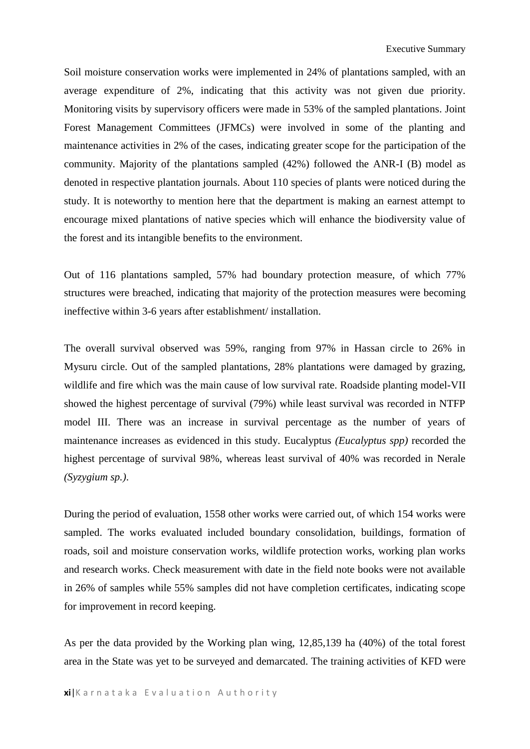Soil moisture conservation works were implemented in 24% of plantations sampled, with an average expenditure of 2%, indicating that this activity was not given due priority. Monitoring visits by supervisory officers were made in 53% of the sampled plantations. Joint Forest Management Committees (JFMCs) were involved in some of the planting and maintenance activities in 2% of the cases, indicating greater scope for the participation of the community. Majority of the plantations sampled (42%) followed the ANR-I (B) model as denoted in respective plantation journals. About 110 species of plants were noticed during the study. It is noteworthy to mention here that the department is making an earnest attempt to encourage mixed plantations of native species which will enhance the biodiversity value of the forest and its intangible benefits to the environment.

Out of 116 plantations sampled, 57% had boundary protection measure, of which 77% structures were breached, indicating that majority of the protection measures were becoming ineffective within 3-6 years after establishment/ installation.

The overall survival observed was 59%, ranging from 97% in Hassan circle to 26% in Mysuru circle. Out of the sampled plantations, 28% plantations were damaged by grazing, wildlife and fire which was the main cause of low survival rate. Roadside planting model-VII showed the highest percentage of survival (79%) while least survival was recorded in NTFP model III. There was an increase in survival percentage as the number of years of maintenance increases as evidenced in this study. Eucalyptus *(Eucalyptus spp)* recorded the highest percentage of survival 98%, whereas least survival of 40% was recorded in Nerale *(Syzygium sp.)*.

During the period of evaluation, 1558 other works were carried out, of which 154 works were sampled. The works evaluated included boundary consolidation, buildings, formation of roads, soil and moisture conservation works, wildlife protection works, working plan works and research works. Check measurement with date in the field note books were not available in 26% of samples while 55% samples did not have completion certificates, indicating scope for improvement in record keeping.

As per the data provided by the Working plan wing, 12,85,139 ha (40%) of the total forest area in the State was yet to be surveyed and demarcated. The training activities of KFD were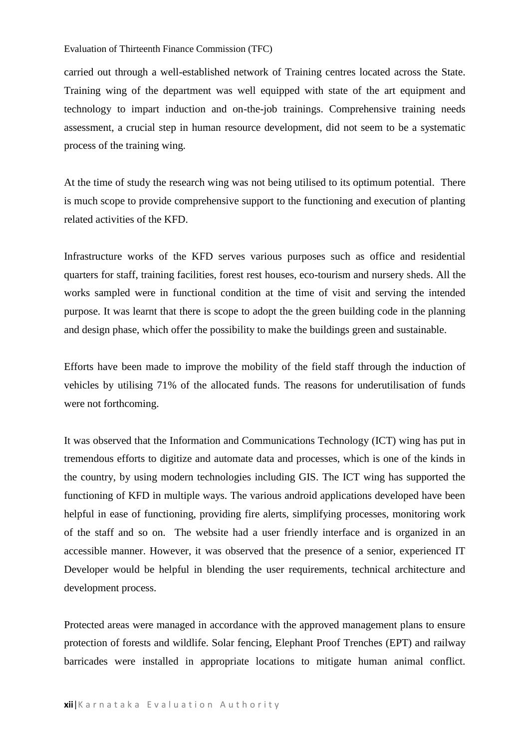#### Evaluation of Thirteenth Finance Commission (TFC)

carried out through a well-established network of Training centres located across the State. Training wing of the department was well equipped with state of the art equipment and technology to impart induction and on-the-job trainings. Comprehensive training needs assessment, a crucial step in human resource development, did not seem to be a systematic process of the training wing.

At the time of study the research wing was not being utilised to its optimum potential. There is much scope to provide comprehensive support to the functioning and execution of planting related activities of the KFD.

Infrastructure works of the KFD serves various purposes such as office and residential quarters for staff, training facilities, forest rest houses, eco-tourism and nursery sheds. All the works sampled were in functional condition at the time of visit and serving the intended purpose. It was learnt that there is scope to adopt the the green building code in the planning and design phase, which offer the possibility to make the buildings green and sustainable.

Efforts have been made to improve the mobility of the field staff through the induction of vehicles by utilising 71% of the allocated funds. The reasons for underutilisation of funds were not forthcoming.

It was observed that the Information and Communications Technology (ICT) wing has put in tremendous efforts to digitize and automate data and processes, which is one of the kinds in the country, by using modern technologies including GIS. The ICT wing has supported the functioning of KFD in multiple ways. The various android applications developed have been helpful in ease of functioning, providing fire alerts, simplifying processes, monitoring work of the staff and so on. The website had a user friendly interface and is organized in an accessible manner. However, it was observed that the presence of a senior, experienced IT Developer would be helpful in blending the user requirements, technical architecture and development process.

Protected areas were managed in accordance with the approved management plans to ensure protection of forests and wildlife. Solar fencing, Elephant Proof Trenches (EPT) and railway barricades were installed in appropriate locations to mitigate human animal conflict.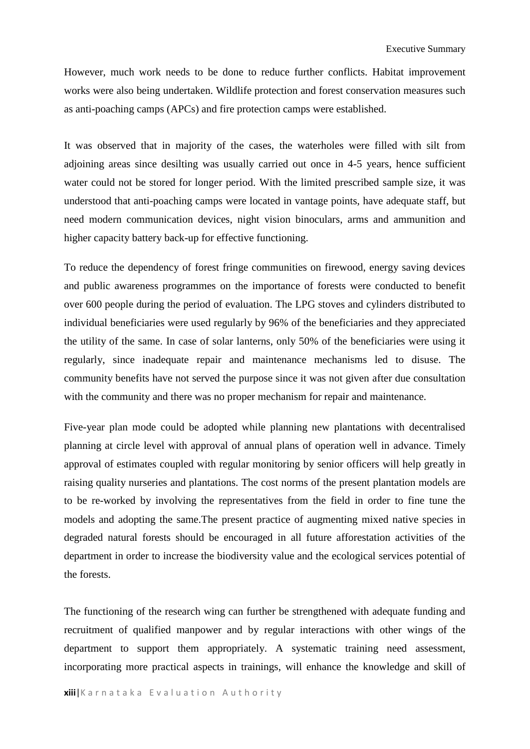However, much work needs to be done to reduce further conflicts. Habitat improvement works were also being undertaken. Wildlife protection and forest conservation measures such as anti-poaching camps (APCs) and fire protection camps were established.

It was observed that in majority of the cases, the waterholes were filled with silt from adjoining areas since desilting was usually carried out once in 4-5 years, hence sufficient water could not be stored for longer period. With the limited prescribed sample size, it was understood that anti-poaching camps were located in vantage points, have adequate staff, but need modern communication devices, night vision binoculars, arms and ammunition and higher capacity battery back-up for effective functioning.

To reduce the dependency of forest fringe communities on firewood, energy saving devices and public awareness programmes on the importance of forests were conducted to benefit over 600 people during the period of evaluation. The LPG stoves and cylinders distributed to individual beneficiaries were used regularly by 96% of the beneficiaries and they appreciated the utility of the same. In case of solar lanterns, only 50% of the beneficiaries were using it regularly, since inadequate repair and maintenance mechanisms led to disuse. The community benefits have not served the purpose since it was not given after due consultation with the community and there was no proper mechanism for repair and maintenance.

Five-year plan mode could be adopted while planning new plantations with decentralised planning at circle level with approval of annual plans of operation well in advance. Timely approval of estimates coupled with regular monitoring by senior officers will help greatly in raising quality nurseries and plantations. The cost norms of the present plantation models are to be re-worked by involving the representatives from the field in order to fine tune the models and adopting the same.The present practice of augmenting mixed native species in degraded natural forests should be encouraged in all future afforestation activities of the department in order to increase the biodiversity value and the ecological services potential of the forests.

The functioning of the research wing can further be strengthened with adequate funding and recruitment of qualified manpower and by regular interactions with other wings of the department to support them appropriately. A systematic training need assessment, incorporating more practical aspects in trainings, will enhance the knowledge and skill of